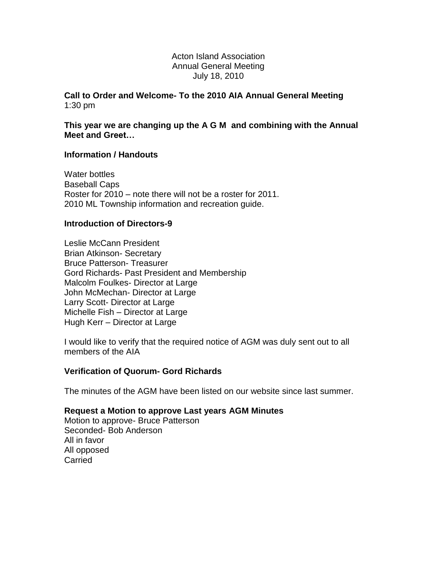#### Acton Island Association Annual General Meeting July 18, 2010

**Call to Order and Welcome- To the 2010 AIA Annual General Meeting** 1:30 pm

**This year we are changing up the A G M and combining with the Annual Meet and Greet…**

### **Information / Handouts**

Water bottles Baseball Caps Roster for 2010 – note there will not be a roster for 2011. 2010 ML Township information and recreation guide.

### **Introduction of Directors-9**

Leslie McCann President Brian Atkinson- Secretary Bruce Patterson- Treasurer Gord Richards- Past President and Membership Malcolm Foulkes- Director at Large John McMechan- Director at Large Larry Scott- Director at Large Michelle Fish – Director at Large Hugh Kerr – Director at Large

I would like to verify that the required notice of AGM was duly sent out to all members of the AIA

#### **Verification of Quorum- Gord Richards**

The minutes of the AGM have been listed on our website since last summer.

#### **Request a Motion to approve Last years AGM Minutes**

Motion to approve- Bruce Patterson Seconded- Bob Anderson All in favor All opposed **Carried**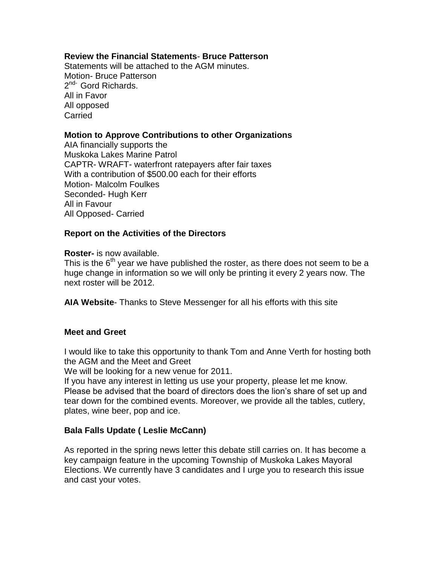## **Review the Financial Statements**- **Bruce Patterson**

Statements will be attached to the AGM minutes. Motion- Bruce Patterson 2<sup>nd-</sup> Gord Richards. All in Favor All opposed **Carried** 

### **Motion to Approve Contributions to other Organizations**

AIA financially supports the Muskoka Lakes Marine Patrol CAPTR- WRAFT- waterfront ratepayers after fair taxes With a contribution of \$500.00 each for their efforts Motion- Malcolm Foulkes Seconded- Hugh Kerr All in Favour All Opposed- Carried

## **Report on the Activities of the Directors**

**Roster-** is now available.

This is the  $6<sup>th</sup>$  year we have published the roster, as there does not seem to be a huge change in information so we will only be printing it every 2 years now. The next roster will be 2012.

**AIA Website**- Thanks to Steve Messenger for all his efforts with this site

#### **Meet and Greet**

I would like to take this opportunity to thank Tom and Anne Verth for hosting both the AGM and the Meet and Greet

We will be looking for a new venue for 2011.

If you have any interest in letting us use your property, please let me know. Please be advised that the board of directors does the lion's share of set up and tear down for the combined events. Moreover, we provide all the tables, cutlery, plates, wine beer, pop and ice.

## **Bala Falls Update ( Leslie McCann)**

As reported in the spring news letter this debate still carries on. It has become a key campaign feature in the upcoming Township of Muskoka Lakes Mayoral Elections. We currently have 3 candidates and I urge you to research this issue and cast your votes.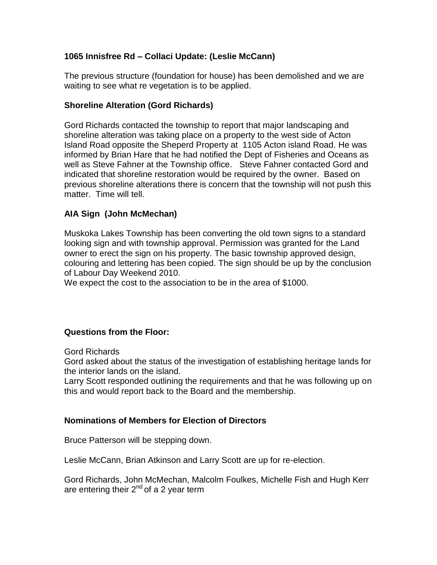# **1065 Innisfree Rd – Collaci Update: (Leslie McCann)**

The previous structure (foundation for house) has been demolished and we are waiting to see what re vegetation is to be applied.

## **Shoreline Alteration (Gord Richards)**

Gord Richards contacted the township to report that major landscaping and shoreline alteration was taking place on a property to the west side of Acton Island Road opposite the Sheperd Property at 1105 Acton island Road. He was informed by Brian Hare that he had notified the Dept of Fisheries and Oceans as well as Steve Fahner at the Township office. Steve Fahner contacted Gord and indicated that shoreline restoration would be required by the owner. Based on previous shoreline alterations there is concern that the township will not push this matter. Time will tell.

# **AIA Sign (John McMechan)**

Muskoka Lakes Township has been converting the old town signs to a standard looking sign and with township approval. Permission was granted for the Land owner to erect the sign on his property. The basic township approved design, colouring and lettering has been copied. The sign should be up by the conclusion of Labour Day Weekend 2010.

We expect the cost to the association to be in the area of \$1000.

## **Questions from the Floor:**

Gord Richards

Gord asked about the status of the investigation of establishing heritage lands for the interior lands on the island.

Larry Scott responded outlining the requirements and that he was following up on this and would report back to the Board and the membership.

## **Nominations of Members for Election of Directors**

Bruce Patterson will be stepping down.

Leslie McCann, Brian Atkinson and Larry Scott are up for re-election.

Gord Richards, John McMechan, Malcolm Foulkes, Michelle Fish and Hugh Kerr are entering their  $2^{nd}$  of a 2 year term